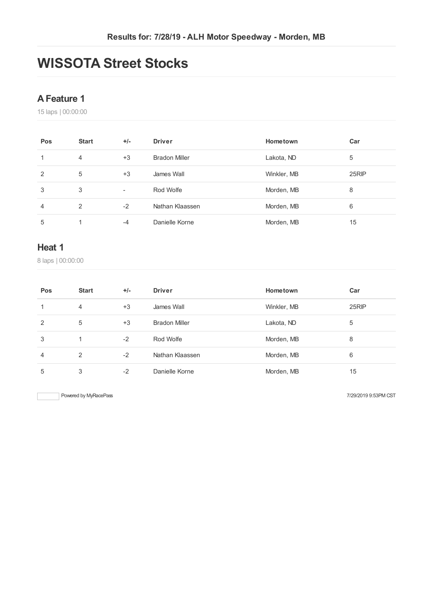# **WISSOTA Street Stocks**

#### **AFeature 1**

laps | 00:00:00

| Pos | <b>Start</b> | $+/-$                    | <b>Driver</b>        | Hometown    | Car   |
|-----|--------------|--------------------------|----------------------|-------------|-------|
|     | 4            | $+3$                     | <b>Bradon Miller</b> | Lakota, ND  | 5     |
| 2   | 5            | $+3$                     | James Wall           | Winkler, MB | 25RIP |
| 3   | 3            | $\overline{\phantom{a}}$ | Rod Wolfe            | Morden, MB  | 8     |
| 4   | 2            | $-2$                     | Nathan Klaassen      | Morden, MB  | 6     |
| 5   | 1            | -4                       | Danielle Korne       | Morden, MB  | 15    |

#### **Heat 1**

laps | 00:00:00

| Pos            | <b>Start</b>   | $+/-$ | <b>Driver</b>        | Hometown    | Car   |
|----------------|----------------|-------|----------------------|-------------|-------|
| 1              | $\overline{4}$ | $+3$  | James Wall           | Winkler, MB | 25RIP |
| 2              | 5              | $+3$  | <b>Bradon Miller</b> | Lakota, ND  | 5     |
| 3              |                | $-2$  | Rod Wolfe            | Morden, MB  | 8     |
| $\overline{4}$ | 2              | $-2$  | Nathan Klaassen      | Morden, MB  | 6     |
| 5              | 3              | $-2$  | Danielle Korne       | Morden, MB  | 15    |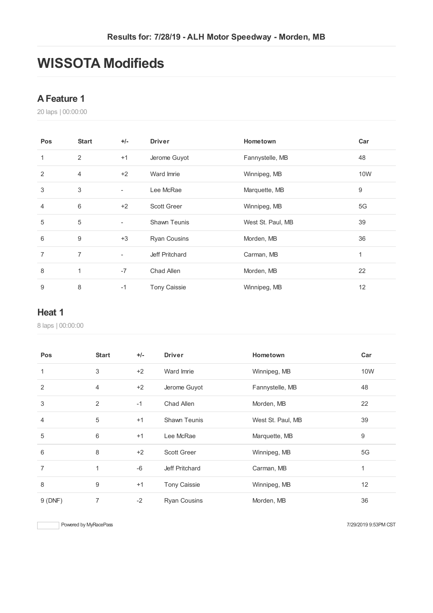# **WISSOTA Modifieds**

#### **AFeature 1**

laps | 00:00:00

| Pos            | <b>Start</b>   | $+/-$                    | <b>Driver</b>       | Hometown          | Car |
|----------------|----------------|--------------------------|---------------------|-------------------|-----|
| 1              | 2              | $+1$                     | Jerome Guyot        | Fannystelle, MB   | 48  |
| 2              | $\overline{4}$ | $+2$                     | Ward Imrie          | Winnipeg, MB      | 10W |
| 3              | 3              | ٠                        | Lee McRae           | Marquette, MB     | 9   |
| $\overline{4}$ | 6              | $+2$                     | <b>Scott Greer</b>  | Winnipeg, MB      | 5G  |
| 5              | 5              | $\overline{\phantom{a}}$ | <b>Shawn Teunis</b> | West St. Paul, MB | 39  |
| 6              | 9              | $+3$                     | <b>Ryan Cousins</b> | Morden, MB        | 36  |
| 7              | $\overline{7}$ | $\overline{\phantom{a}}$ | Jeff Pritchard      | Carman, MB        | 1   |
| 8              | $\mathbf{1}$   | $-7$                     | Chad Allen          | Morden, MB        | 22  |
| 9              | 8              | $-1$                     | <b>Tony Caissie</b> | Winnipeg, MB      | 12  |

#### **Heat 1**

laps | 00:00:00

| <b>Pos</b>   | <b>Start</b> | $+/-$ | <b>Driver</b>       | <b>Hometown</b>   | Car |
|--------------|--------------|-------|---------------------|-------------------|-----|
| $\mathbf{1}$ | 3            | $+2$  | Ward Imrie          | Winnipeg, MB      | 10W |
| 2            | 4            | $+2$  | Jerome Guyot        | Fannystelle, MB   | 48  |
| 3            | 2            | $-1$  | Chad Allen          | Morden, MB        | 22  |
| 4            | 5            | $+1$  | <b>Shawn Teunis</b> | West St. Paul, MB | 39  |
| 5            | 6            | $+1$  | Lee McRae           | Marquette, MB     | 9   |
| 6            | 8            | $+2$  | <b>Scott Greer</b>  | Winnipeg, MB      | 5G  |
| 7            | 1            | $-6$  | Jeff Pritchard      | Carman, MB        | 1   |
| 8            | 9            | $+1$  | <b>Tony Caissie</b> | Winnipeg, MB      | 12  |
| 9(DNF)       | 7            | $-2$  | <b>Ryan Cousins</b> | Morden, MB        | 36  |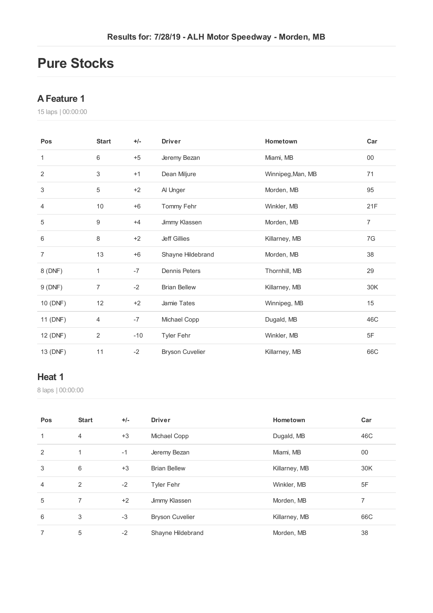## **Pure Stocks**

#### **AFeature 1**

laps | 00:00:00

| Pos            | <b>Start</b>              | $+/-$ | <b>Driver</b>          | Hometown          | Car            |
|----------------|---------------------------|-------|------------------------|-------------------|----------------|
| 1              | 6                         | $+5$  | Jeremy Bezan           | Miami, MB         | $00\,$         |
| 2              | $\ensuremath{\mathsf{3}}$ | $+1$  | Dean Miljure           | Winnipeg, Man, MB | 71             |
| 3              | 5                         | $+2$  | Al Unger               | Morden, MB        | 95             |
| 4              | 10                        | $+6$  | Tommy Fehr             | Winkler, MB       | 21F            |
| 5              | 9                         | $+4$  | Jimmy Klassen          | Morden, MB        | $\overline{7}$ |
| 6              | 8                         | $+2$  | <b>Jeff Gillies</b>    | Killarney, MB     | 7G             |
| $\overline{7}$ | 13                        | $+6$  | Shayne Hildebrand      | Morden, MB        | 38             |
| 8 (DNF)        | 1                         | $-7$  | <b>Dennis Peters</b>   | Thornhill, MB     | 29             |
| 9(DNF)         | $\overline{7}$            | $-2$  | <b>Brian Bellew</b>    | Killarney, MB     | 30K            |
| 10 (DNF)       | 12                        | $+2$  | Jamie Tates            | Winnipeg, MB      | 15             |
| 11 (DNF)       | 4                         | $-7$  | Michael Copp           | Dugald, MB        | 46C            |
| 12 (DNF)       | 2                         | $-10$ | <b>Tyler Fehr</b>      | Winkler, MB       | 5F             |
| 13 (DNF)       | 11                        | $-2$  | <b>Bryson Cuvelier</b> | Killarney, MB     | 66C            |

#### **Heat 1**

laps | 00:00:00

| Pos | <b>Start</b>   | $+/-$ | <b>Driver</b>          | Hometown      | Car |
|-----|----------------|-------|------------------------|---------------|-----|
|     | $\overline{4}$ | $+3$  | Michael Copp           | Dugald, MB    | 46C |
| 2   | 1              | $-1$  | Jeremy Bezan           | Miami, MB     | 00  |
| 3   | 6              | $+3$  | <b>Brian Bellew</b>    | Killarney, MB | 30K |
| 4   | 2              | $-2$  | <b>Tyler Fehr</b>      | Winkler, MB   | 5F  |
| 5   | 7              | $+2$  | Jimmy Klassen          | Morden, MB    | 7   |
| 6   | 3              | $-3$  | <b>Bryson Cuvelier</b> | Killarney, MB | 66C |
| 7   | 5              | $-2$  | Shayne Hildebrand      | Morden, MB    | 38  |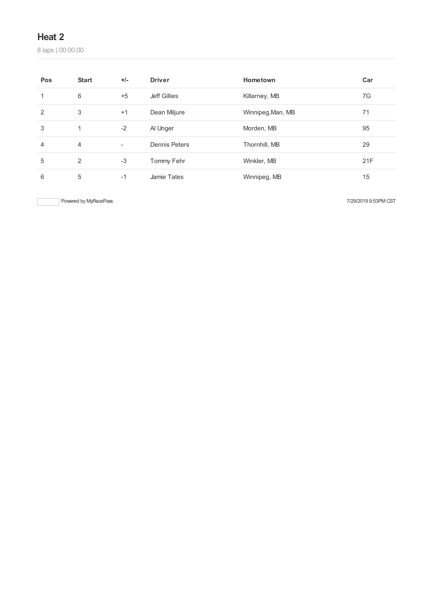### **Heat 2**

laps | 00:00:00

| Pos | <b>Start</b>   | $+/-$                    | <b>Driver</b>        | Hometown          | Car |
|-----|----------------|--------------------------|----------------------|-------------------|-----|
|     | 6              | $+5$                     | Jeff Gillies         | Killarney, MB     | 7G  |
| 2   | 3              | $+1$                     | Dean Miljure         | Winnipeg, Man, MB | 71  |
| 3   | 1              | $-2$                     | Al Unger             | Morden, MB        | 95  |
| 4   | $\overline{4}$ | $\overline{\phantom{a}}$ | <b>Dennis Peters</b> | Thornhill, MB     | 29  |
| 5   | 2              | $-3$                     | Tommy Fehr           | Winkler, MB       | 21F |
| 6   | 5              | $-1$                     | Jamie Tates          | Winnipeg, MB      | 15  |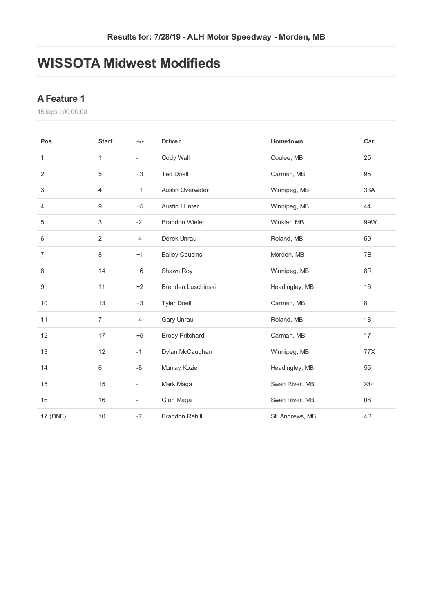## **WISSOTA Midwest Modifieds**

#### **AFeature 1**

laps | 00:00:00

| Pos              | <b>Start</b>   | $+/-$                    | <b>Driver</b>           | Hometown        | Car           |
|------------------|----------------|--------------------------|-------------------------|-----------------|---------------|
| 1                | 1              | $\overline{\phantom{0}}$ | Cody Wall               | Coulee, MB      | 25            |
| $\overline{2}$   | $\sqrt{5}$     | $+3$                     | <b>Ted Doell</b>        | Carman, MB      | 95            |
| 3                | 4              | $+1$                     | <b>Austin Overwater</b> | Winnipeg, MB    | 33A           |
| $\overline{4}$   | 9              | $+5$                     | <b>Austin Hunter</b>    | Winnipeg, MB    | 44            |
| 5                | 3              | $-2$                     | <b>Brandon Wieler</b>   | Winkler, MB     | 99W           |
| 6                | $\overline{2}$ | $-4$                     | Derek Unrau             | Roland, MB      | 59            |
| $\overline{7}$   | 8              | $+1$                     | <b>Bailey Cousins</b>   | Morden, MB      | 7B            |
| 8                | 14             | $+6$                     | Shawn Roy               | Winnipeg, MB    | $8\mathsf{R}$ |
| $\boldsymbol{9}$ | 11             | $+2$                     | Brenden Luschinski      | Headingley, MB  | 16            |
| 10               | 13             | $+3$                     | <b>Tyler Doell</b>      | Carman, MB      | $\,8\,$       |
| 11               | $\overline{7}$ | $-4$                     | Gary Unrau              | Roland, MB      | 18            |
| 12               | 17             | $+5$                     | <b>Brody Pritchard</b>  | Carman, MB      | 17            |
| 13               | 12             | $-1$                     | Dylan McCaughan         | Winnipeg, MB    | 77X           |
| 14               | 6              | -8                       | Murray Kozie            | Headingley, MB  | 55            |
| 15               | 15             | $\overline{\phantom{0}}$ | Mark Maga               | Swan River, MB  | X44           |
| 16               | 16             |                          | Glen Maga               | Swan River, MB  | 08            |
| 17 (DNF)         | $10$           | $-7$                     | <b>Brandon Rehill</b>   | St. Andrews, MB | 4B            |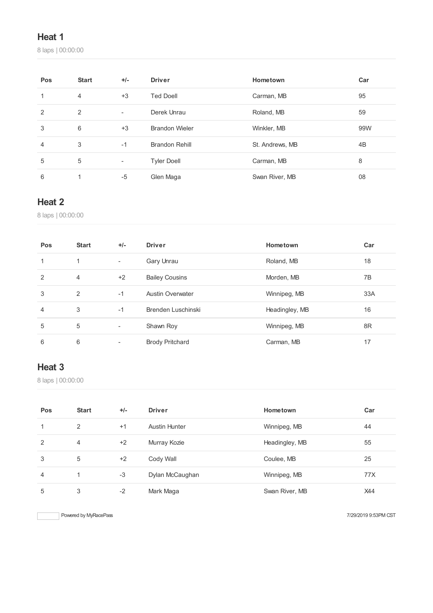### **Heat 1**

laps | 00:00:00

| Pos | <b>Start</b>   | $+/-$                    | <b>Driver</b>         | Hometown        | Car |
|-----|----------------|--------------------------|-----------------------|-----------------|-----|
|     | $\overline{4}$ | $+3$                     | <b>Ted Doell</b>      | Carman, MB      | 95  |
| 2   | 2              | $\overline{\phantom{0}}$ | Derek Unrau           | Roland, MB      | 59  |
| 3   | 6              | $+3$                     | <b>Brandon Wieler</b> | Winkler, MB     | 99W |
| 4   | 3              | $-1$                     | <b>Brandon Rehill</b> | St. Andrews, MB | 4B  |
| 5   | 5              | ۰                        | <b>Tyler Doell</b>    | Carman, MB      | 8   |
| 6   | ◢              | -5                       | Glen Maga             | Swan River, MB  | 08  |

### **Heat 2**

laps | 00:00:00

| Pos            | <b>Start</b> | $+/-$                    | <b>Driver</b>           | Hometown       | Car |
|----------------|--------------|--------------------------|-------------------------|----------------|-----|
| 1              | ◀            | $\overline{\phantom{0}}$ | Gary Unrau              | Roland, MB     | 18  |
| 2              | 4            | $+2$                     | <b>Bailey Cousins</b>   | Morden, MB     | 7B  |
| 3              | 2            | $-1$                     | <b>Austin Overwater</b> | Winnipeg, MB   | 33A |
| $\overline{4}$ | 3            | $-1$                     | Brenden Luschinski      | Headingley, MB | 16  |
| 5              | 5            | ٠                        | Shawn Roy               | Winnipeg, MB   | 8R  |
| 6              | 6            | ۰                        | <b>Brody Pritchard</b>  | Carman, MB     | 17  |

### **Heat 3**

laps | 00:00:00

| Pos | <b>Start</b> | $+/-$ | <b>Driver</b>   | Hometown       | Car |
|-----|--------------|-------|-----------------|----------------|-----|
|     | 2            | $+1$  | Austin Hunter   | Winnipeg, MB   | 44  |
| 2   | 4            | $+2$  | Murray Kozie    | Headingley, MB | 55  |
| 3   | 5            | $+2$  | Cody Wall       | Coulee, MB     | 25  |
| 4   |              | $-3$  | Dylan McCaughan | Winnipeg, MB   | 77X |
| 5   | 3            | $-2$  | Mark Maga       | Swan River, MB | X44 |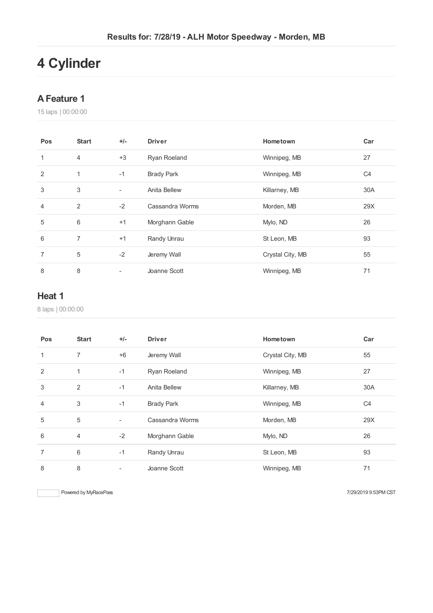# **Cylinder**

#### **AFeature 1**

laps | 00:00:00

| Pos            | <b>Start</b>   | $+/-$                    | <b>Driver</b>     | Hometown         | Car            |
|----------------|----------------|--------------------------|-------------------|------------------|----------------|
| 1              | $\overline{4}$ | $+3$                     | Ryan Roeland      | Winnipeg, MB     | 27             |
| $\overline{2}$ | 1              | $-1$                     | <b>Brady Park</b> | Winnipeg, MB     | C <sub>4</sub> |
| 3              | 3              | $\overline{\phantom{a}}$ | Anita Bellew      | Killarney, MB    | 30A            |
| 4              | 2              | $-2$                     | Cassandra Worms   | Morden, MB       | 29X            |
| 5              | 6              | $+1$                     | Morghann Gable    | Mylo, ND         | 26             |
| 6              | 7              | $+1$                     | Randy Unrau       | St Leon, MB      | 93             |
| 7              | 5              | $-2$                     | Jeremy Wall       | Crystal City, MB | 55             |
| 8              | 8              | ۰                        | Joanne Scott      | Winnipeg, MB     | 71             |

#### **Heat 1**

laps | 00:00:00

| <b>Pos</b>     | <b>Start</b>   | $+/-$                    | <b>Driver</b>     | Hometown         | Car            |
|----------------|----------------|--------------------------|-------------------|------------------|----------------|
| $\mathbf{1}$   | $\overline{7}$ | $+6$                     | Jeremy Wall       | Crystal City, MB | 55             |
| 2              | 1              | $-1$                     | Ryan Roeland      | Winnipeg, MB     | 27             |
| 3              | 2              | $-1$                     | Anita Bellew      | Killarney, MB    | 30A            |
| $\overline{4}$ | 3              | $-1$                     | <b>Brady Park</b> | Winnipeg, MB     | C <sub>4</sub> |
| 5              | 5              | $\overline{\phantom{a}}$ | Cassandra Worms   | Morden, MB       | 29X            |
| 6              | $\overline{4}$ | $-2$                     | Morghann Gable    | Mylo, ND         | 26             |
| $\overline{7}$ | 6              | $-1$                     | Randy Unrau       | St Leon, MB      | 93             |
| 8              | 8              |                          | Joanne Scott      | Winnipeg, MB     | 71             |